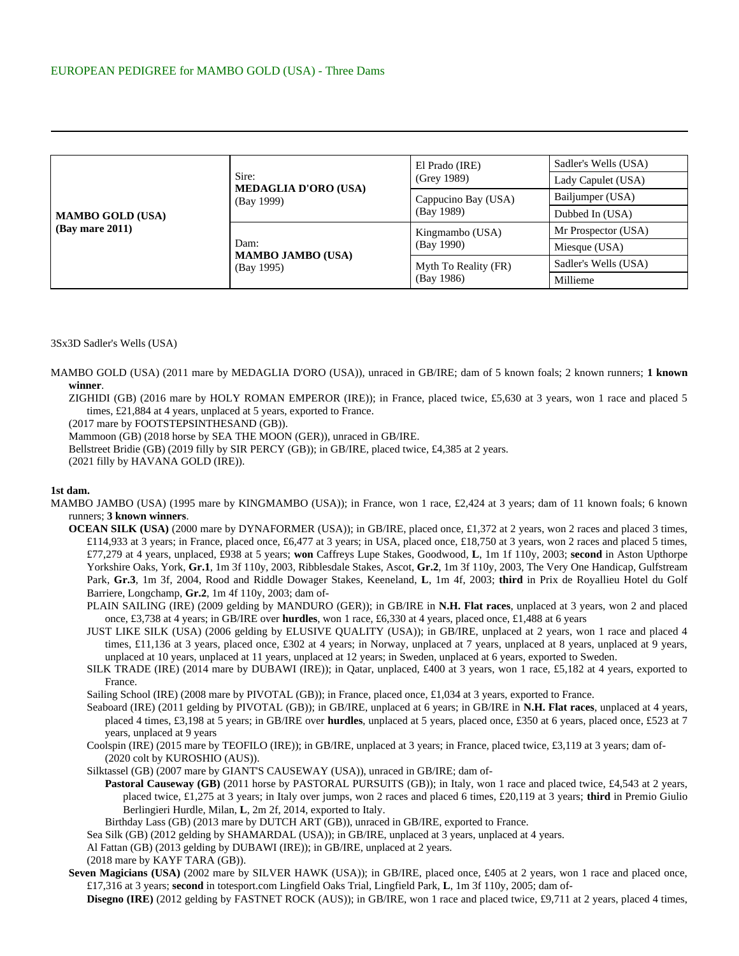| <b>MAMBO GOLD (USA)</b><br>$(Bay \text{ mare } 2011)$ | Sire:<br><b>MEDAGLIA D'ORO (USA)</b><br>(Bay 1999) | El Prado (IRE)<br>(Grey 1989)      | Sadler's Wells (USA) |
|-------------------------------------------------------|----------------------------------------------------|------------------------------------|----------------------|
|                                                       |                                                    |                                    | Lady Capulet (USA)   |
|                                                       |                                                    | Cappucino Bay (USA)<br>(Bay 1989)  | Bailjumper (USA)     |
|                                                       |                                                    |                                    | Dubbed In (USA)      |
|                                                       | Dam:<br><b>MAMBO JAMBO (USA)</b><br>(Bay 1995)     | Kingmambo (USA)<br>(Bay 1990)      | Mr Prospector (USA)  |
|                                                       |                                                    |                                    | Miesque (USA)        |
|                                                       |                                                    | Myth To Reality (FR)<br>(Bay 1986) | Sadler's Wells (USA) |
|                                                       |                                                    |                                    | Millieme             |

## 3Sx3D Sadler's Wells (USA)

MAMBO GOLD (USA) (2011 mare by MEDAGLIA D'ORO (USA)), unraced in GB/IRE; dam of 5 known foals; 2 known runners; **1 known winner**.

ZIGHIDI (GB) (2016 mare by HOLY ROMAN EMPEROR (IRE)); in France, placed twice, £5,630 at 3 years, won 1 race and placed 5 times, £21,884 at 4 years, unplaced at 5 years, exported to France.

(2017 mare by FOOTSTEPSINTHESAND (GB)).

Mammoon (GB) (2018 horse by SEA THE MOON (GER)), unraced in GB/IRE.

Bellstreet Bridie (GB) (2019 filly by SIR PERCY (GB)); in GB/IRE, placed twice, £4,385 at 2 years.

(2021 filly by HAVANA GOLD (IRE)).

## **1st dam.**

- MAMBO JAMBO (USA) (1995 mare by KINGMAMBO (USA)); in France, won 1 race, £2,424 at 3 years; dam of 11 known foals; 6 known runners; **3 known winners**.
	- **OCEAN SILK (USA)** (2000 mare by DYNAFORMER (USA)); in GB/IRE, placed once, £1,372 at 2 years, won 2 races and placed 3 times, £114,933 at 3 years; in France, placed once, £6,477 at 3 years; in USA, placed once, £18,750 at 3 years, won 2 races and placed 5 times, £77,279 at 4 years, unplaced, £938 at 5 years; **won** Caffreys Lupe Stakes, Goodwood, **L**, 1m 1f 110y, 2003; **second** in Aston Upthorpe Yorkshire Oaks, York, **Gr.1**, 1m 3f 110y, 2003, Ribblesdale Stakes, Ascot, **Gr.2**, 1m 3f 110y, 2003, The Very One Handicap, Gulfstream Park, **Gr.3**, 1m 3f, 2004, Rood and Riddle Dowager Stakes, Keeneland, **L**, 1m 4f, 2003; **third** in Prix de Royallieu Hotel du Golf Barriere, Longchamp, **Gr.2**, 1m 4f 110y, 2003; dam of-
		- PLAIN SAILING (IRE) (2009 gelding by MANDURO (GER)); in GB/IRE in **N.H. Flat races**, unplaced at 3 years, won 2 and placed once, £3,738 at 4 years; in GB/IRE over **hurdles**, won 1 race, £6,330 at 4 years, placed once, £1,488 at 6 years
		- JUST LIKE SILK (USA) (2006 gelding by ELUSIVE QUALITY (USA)); in GB/IRE, unplaced at 2 years, won 1 race and placed 4 times, £11,136 at 3 years, placed once, £302 at 4 years; in Norway, unplaced at 7 years, unplaced at 8 years, unplaced at 9 years, unplaced at 10 years, unplaced at 11 years, unplaced at 12 years; in Sweden, unplaced at 6 years, exported to Sweden.
		- SILK TRADE (IRE) (2014 mare by DUBAWI (IRE)); in Qatar, unplaced, £400 at 3 years, won 1 race, £5,182 at 4 years, exported to France.

Sailing School (IRE) (2008 mare by PIVOTAL (GB)); in France, placed once, £1,034 at 3 years, exported to France.

- Seaboard (IRE) (2011 gelding by PIVOTAL (GB)); in GB/IRE, unplaced at 6 years; in GB/IRE in **N.H. Flat races**, unplaced at 4 years, placed 4 times, £3,198 at 5 years; in GB/IRE over **hurdles**, unplaced at 5 years, placed once, £350 at 6 years, placed once, £523 at 7 years, unplaced at 9 years
- Coolspin (IRE) (2015 mare by TEOFILO (IRE)); in GB/IRE, unplaced at 3 years; in France, placed twice, £3,119 at 3 years; dam of- (2020 colt by KUROSHIO (AUS)).

Silktassel (GB) (2007 mare by GIANT'S CAUSEWAY (USA)), unraced in GB/IRE; dam of-

- **Pastoral Causeway (GB)** (2011 horse by PASTORAL PURSUITS (GB)); in Italy, won 1 race and placed twice, £4,543 at 2 years, placed twice, £1,275 at 3 years; in Italy over jumps, won 2 races and placed 6 times, £20,119 at 3 years; **third** in Premio Giulio Berlingieri Hurdle, Milan, **L**, 2m 2f, 2014, exported to Italy.
- Birthday Lass (GB) (2013 mare by DUTCH ART (GB)), unraced in GB/IRE, exported to France.

Sea Silk (GB) (2012 gelding by SHAMARDAL (USA)); in GB/IRE, unplaced at 3 years, unplaced at 4 years.

- Al Fattan (GB) (2013 gelding by DUBAWI (IRE)); in GB/IRE, unplaced at 2 years.
- (2018 mare by KAYF TARA (GB)).
- **Seven Magicians (USA)** (2002 mare by SILVER HAWK (USA)); in GB/IRE, placed once, £405 at 2 years, won 1 race and placed once, £17,316 at 3 years; **second** in totesport.com Lingfield Oaks Trial, Lingfield Park, **L**, 1m 3f 110y, 2005; dam of-

**Disegno (IRE)** (2012 gelding by FASTNET ROCK (AUS)); in GB/IRE, won 1 race and placed twice, £9,711 at 2 years, placed 4 times,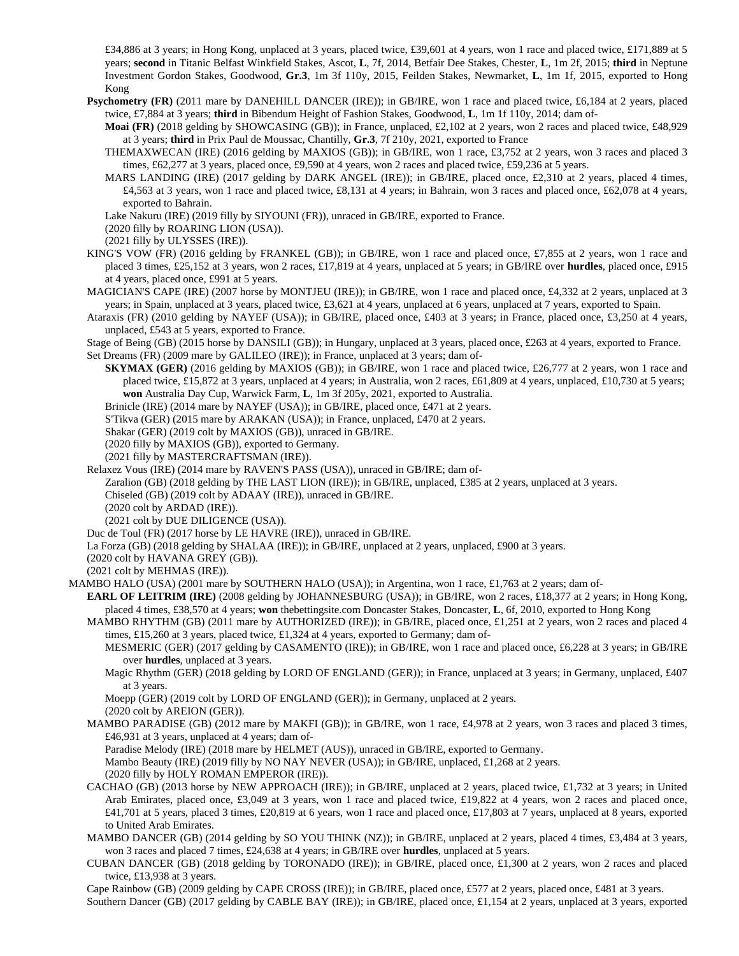£34,886 at 3 years; in Hong Kong, unplaced at 3 years, placed twice, £39,601 at 4 years, won 1 race and placed twice, £171,889 at 5 years; **second** in Titanic Belfast Winkfield Stakes, Ascot, **L**, 7f, 2014, Betfair Dee Stakes, Chester, **L**, 1m 2f, 2015; **third** in Neptune Investment Gordon Stakes, Goodwood, **Gr.3**, 1m 3f 110y, 2015, Feilden Stakes, Newmarket, **L**, 1m 1f, 2015, exported to Hong Kong

**Psychometry (FR)** (2011 mare by DANEHILL DANCER (IRE)); in GB/IRE, won 1 race and placed twice, £6,184 at 2 years, placed twice, £7,884 at 3 years; **third** in Bibendum Height of Fashion Stakes, Goodwood, **L**, 1m 1f 110y, 2014; dam of-

**Moai (FR)** (2018 gelding by SHOWCASING (GB)); in France, unplaced, £2,102 at 2 years, won 2 races and placed twice, £48,929 at 3 years; **third** in Prix Paul de Moussac, Chantilly, **Gr.3**, 7f 210y, 2021, exported to France

- THEMAXWECAN (IRE) (2016 gelding by MAXIOS (GB)); in GB/IRE, won 1 race, £3,752 at 2 years, won 3 races and placed 3 times, £62,277 at 3 years, placed once, £9,590 at 4 years, won 2 races and placed twice, £59,236 at 5 years.
- MARS LANDING (IRE) (2017 gelding by DARK ANGEL (IRE)); in GB/IRE, placed once, £2,310 at 2 years, placed 4 times, £4,563 at 3 years, won 1 race and placed twice, £8,131 at 4 years; in Bahrain, won 3 races and placed once, £62,078 at 4 years, exported to Bahrain.

Lake Nakuru (IRE) (2019 filly by SIYOUNI (FR)), unraced in GB/IRE, exported to France.

- (2020 filly by ROARING LION (USA)).
- (2021 filly by ULYSSES (IRE)).
- KING'S VOW (FR) (2016 gelding by FRANKEL (GB)); in GB/IRE, won 1 race and placed once, £7,855 at 2 years, won 1 race and placed 3 times, £25,152 at 3 years, won 2 races, £17,819 at 4 years, unplaced at 5 years; in GB/IRE over **hurdles**, placed once, £915 at 4 years, placed once, £991 at 5 years.
- MAGICIAN'S CAPE (IRE) (2007 horse by MONTJEU (IRE)); in GB/IRE, won 1 race and placed once, £4,332 at 2 years, unplaced at 3 years; in Spain, unplaced at 3 years, placed twice, £3,621 at 4 years, unplaced at 6 years, unplaced at 7 years, exported to Spain.

Ataraxis (FR) (2010 gelding by NAYEF (USA)); in GB/IRE, placed once, £403 at 3 years; in France, placed once, £3,250 at 4 years, unplaced, £543 at 5 years, exported to France.

- Stage of Being (GB) (2015 horse by DANSILI (GB)); in Hungary, unplaced at 3 years, placed once, £263 at 4 years, exported to France. Set Dreams (FR) (2009 mare by GALILEO (IRE)); in France, unplaced at 3 years; dam of-
	- **SKYMAX (GER)** (2016 gelding by MAXIOS (GB)); in GB/IRE, won 1 race and placed twice, £26,777 at 2 years, won 1 race and placed twice, £15,872 at 3 years, unplaced at 4 years; in Australia, won 2 races, £61,809 at 4 years, unplaced, £10,730 at 5 years; **won** Australia Day Cup, Warwick Farm, **L**, 1m 3f 205y, 2021, exported to Australia.

Brinicle (IRE) (2014 mare by NAYEF (USA)); in GB/IRE, placed once, £471 at 2 years.

S'Tikva (GER) (2015 mare by ARAKAN (USA)); in France, unplaced, £470 at 2 years.

Shakar (GER) (2019 colt by MAXIOS (GB)), unraced in GB/IRE.

(2020 filly by MAXIOS (GB)), exported to Germany.

(2021 filly by MASTERCRAFTSMAN (IRE)).

Relaxez Vous (IRE) (2014 mare by RAVEN'S PASS (USA)), unraced in GB/IRE; dam of-

Zaralion (GB) (2018 gelding by THE LAST LION (IRE)); in GB/IRE, unplaced, £385 at 2 years, unplaced at 3 years.

Chiseled (GB) (2019 colt by ADAAY (IRE)), unraced in GB/IRE.

(2020 colt by ARDAD (IRE)).

(2021 colt by DUE DILIGENCE (USA)).

Duc de Toul (FR) (2017 horse by LE HAVRE (IRE)), unraced in GB/IRE.

La Forza (GB) (2018 gelding by SHALAA (IRE)); in GB/IRE, unplaced at 2 years, unplaced, £900 at 3 years.

(2020 colt by HAVANA GREY (GB)).

(2021 colt by MEHMAS (IRE)).

MAMBO HALO (USA) (2001 mare by SOUTHERN HALO (USA)); in Argentina, won 1 race, £1,763 at 2 years; dam of-

- **EARL OF LEITRIM (IRE)** (2008 gelding by JOHANNESBURG (USA)); in GB/IRE, won 2 races, £18,377 at 2 years; in Hong Kong, placed 4 times, £38,570 at 4 years; **won** thebettingsite.com Doncaster Stakes, Doncaster, **L**, 6f, 2010, exported to Hong Kong
	- MAMBO RHYTHM (GB) (2011 mare by AUTHORIZED (IRE)); in GB/IRE, placed once, £1,251 at 2 years, won 2 races and placed 4 times, £15,260 at 3 years, placed twice, £1,324 at 4 years, exported to Germany; dam of-

MESMERIC (GER) (2017 gelding by CASAMENTO (IRE)); in GB/IRE, won 1 race and placed once, £6,228 at 3 years; in GB/IRE over **hurdles**, unplaced at 3 years.

Magic Rhythm (GER) (2018 gelding by LORD OF ENGLAND (GER)); in France, unplaced at 3 years; in Germany, unplaced, £407 at 3 years.

Moepp (GER) (2019 colt by LORD OF ENGLAND (GER)); in Germany, unplaced at 2 years.

(2020 colt by AREION (GER)).

MAMBO PARADISE (GB) (2012 mare by MAKFI (GB)); in GB/IRE, won 1 race, £4,978 at 2 years, won 3 races and placed 3 times, £46,931 at 3 years, unplaced at 4 years; dam of-

Paradise Melody (IRE) (2018 mare by HELMET (AUS)), unraced in GB/IRE, exported to Germany.

Mambo Beauty (IRE) (2019 filly by NO NAY NEVER (USA)); in GB/IRE, unplaced, £1,268 at 2 years.

- (2020 filly by HOLY ROMAN EMPEROR (IRE)).
- CACHAO (GB) (2013 horse by NEW APPROACH (IRE)); in GB/IRE, unplaced at 2 years, placed twice, £1,732 at 3 years; in United Arab Emirates, placed once, £3,049 at 3 years, won 1 race and placed twice, £19,822 at 4 years, won 2 races and placed once, £41,701 at 5 years, placed 3 times, £20,819 at 6 years, won 1 race and placed once, £17,803 at 7 years, unplaced at 8 years, exported to United Arab Emirates.
- MAMBO DANCER (GB) (2014 gelding by SO YOU THINK (NZ)); in GB/IRE, unplaced at 2 years, placed 4 times, £3,484 at 3 years, won 3 races and placed 7 times, £24,638 at 4 years; in GB/IRE over **hurdles**, unplaced at 5 years.
- CUBAN DANCER (GB) (2018 gelding by TORONADO (IRE)); in GB/IRE, placed once, £1,300 at 2 years, won 2 races and placed twice, £13,938 at 3 years.

Cape Rainbow (GB) (2009 gelding by CAPE CROSS (IRE)); in GB/IRE, placed once, £577 at 2 years, placed once, £481 at 3 years. Southern Dancer (GB) (2017 gelding by CABLE BAY (IRE)); in GB/IRE, placed once, £1,154 at 2 years, unplaced at 3 years, exported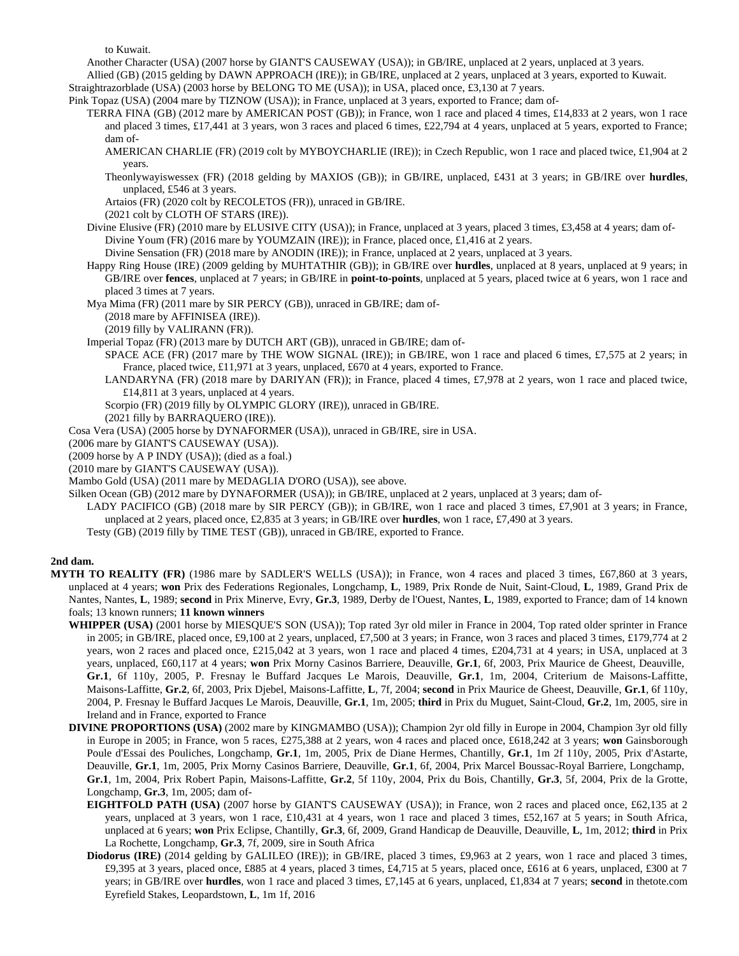to Kuwait.

Another Character (USA) (2007 horse by GIANT'S CAUSEWAY (USA)); in GB/IRE, unplaced at 2 years, unplaced at 3 years.

Allied (GB) (2015 gelding by DAWN APPROACH (IRE)); in GB/IRE, unplaced at 2 years, unplaced at 3 years, exported to Kuwait.

Straightrazorblade (USA) (2003 horse by BELONG TO ME (USA)); in USA, placed once, £3,130 at 7 years.

Pink Topaz (USA) (2004 mare by TIZNOW (USA)); in France, unplaced at 3 years, exported to France; dam of-

- TERRA FINA (GB) (2012 mare by AMERICAN POST (GB)); in France, won 1 race and placed 4 times, £14,833 at 2 years, won 1 race and placed 3 times, £17,441 at 3 years, won 3 races and placed 6 times, £22,794 at 4 years, unplaced at 5 years, exported to France; dam of-
	- AMERICAN CHARLIE (FR) (2019 colt by MYBOYCHARLIE (IRE)); in Czech Republic, won 1 race and placed twice, £1,904 at 2 years.
	- Theonlywayiswessex (FR) (2018 gelding by MAXIOS (GB)); in GB/IRE, unplaced, £431 at 3 years; in GB/IRE over **hurdles**, unplaced, £546 at 3 years.

Artaios (FR) (2020 colt by RECOLETOS (FR)), unraced in GB/IRE.

(2021 colt by CLOTH OF STARS (IRE)).

- Divine Elusive (FR) (2010 mare by ELUSIVE CITY (USA)); in France, unplaced at 3 years, placed 3 times, £3,458 at 4 years; dam of-Divine Youm (FR) (2016 mare by YOUMZAIN (IRE)); in France, placed once, £1,416 at 2 years.
	- Divine Sensation (FR) (2018 mare by ANODIN (IRE)); in France, unplaced at 2 years, unplaced at 3 years.
- Happy Ring House (IRE) (2009 gelding by MUHTATHIR (GB)); in GB/IRE over **hurdles**, unplaced at 8 years, unplaced at 9 years; in GB/IRE over **fences**, unplaced at 7 years; in GB/IRE in **point-to-points**, unplaced at 5 years, placed twice at 6 years, won 1 race and placed 3 times at 7 years.

Mya Mima (FR) (2011 mare by SIR PERCY (GB)), unraced in GB/IRE; dam of-

(2018 mare by AFFINISEA (IRE)).

(2019 filly by VALIRANN (FR)).

Imperial Topaz (FR) (2013 mare by DUTCH ART (GB)), unraced in GB/IRE; dam of-

- SPACE ACE (FR) (2017 mare by THE WOW SIGNAL (IRE)); in GB/IRE, won 1 race and placed 6 times, £7,575 at 2 years; in France, placed twice, £11,971 at 3 years, unplaced, £670 at 4 years, exported to France.
- LANDARYNA (FR) (2018 mare by DARIYAN (FR)); in France, placed 4 times, £7,978 at 2 years, won 1 race and placed twice, £14,811 at 3 years, unplaced at 4 years.
- Scorpio (FR) (2019 filly by OLYMPIC GLORY (IRE)), unraced in GB/IRE.
- (2021 filly by BARRAQUERO (IRE)).
- Cosa Vera (USA) (2005 horse by DYNAFORMER (USA)), unraced in GB/IRE, sire in USA.
- (2006 mare by GIANT'S CAUSEWAY (USA)).

(2009 horse by A P INDY (USA)); (died as a foal.)

(2010 mare by GIANT'S CAUSEWAY (USA)).

- Mambo Gold (USA) (2011 mare by MEDAGLIA D'ORO (USA)), see above.
- Silken Ocean (GB) (2012 mare by DYNAFORMER (USA)); in GB/IRE, unplaced at 2 years, unplaced at 3 years; dam of-
- LADY PACIFICO (GB) (2018 mare by SIR PERCY (GB)); in GB/IRE, won 1 race and placed 3 times, £7,901 at 3 years; in France, unplaced at 2 years, placed once, £2,835 at 3 years; in GB/IRE over **hurdles**, won 1 race, £7,490 at 3 years.
- Testy (GB) (2019 filly by TIME TEST (GB)), unraced in GB/IRE, exported to France.

## **2nd dam.**

- **MYTH TO REALITY (FR)** (1986 mare by SADLER'S WELLS (USA)); in France, won 4 races and placed 3 times, £67,860 at 3 years, unplaced at 4 years; **won** Prix des Federations Regionales, Longchamp, **L**, 1989, Prix Ronde de Nuit, Saint-Cloud, **L**, 1989, Grand Prix de Nantes, Nantes, **L**, 1989; **second** in Prix Minerve, Evry, **Gr.3**, 1989, Derby de l'Ouest, Nantes, **L**, 1989, exported to France; dam of 14 known foals; 13 known runners; **11 known winners**
	- **WHIPPER (USA)** (2001 horse by MIESQUE'S SON (USA)); Top rated 3yr old miler in France in 2004, Top rated older sprinter in France in 2005; in GB/IRE, placed once, £9,100 at 2 years, unplaced, £7,500 at 3 years; in France, won 3 races and placed 3 times, £179,774 at 2 years, won 2 races and placed once, £215,042 at 3 years, won 1 race and placed 4 times, £204,731 at 4 years; in USA, unplaced at 3 years, unplaced, £60,117 at 4 years; **won** Prix Morny Casinos Barriere, Deauville, **Gr.1**, 6f, 2003, Prix Maurice de Gheest, Deauville, **Gr.1**, 6f 110y, 2005, P. Fresnay le Buffard Jacques Le Marois, Deauville, **Gr.1**, 1m, 2004, Criterium de Maisons-Laffitte, Maisons-Laffitte, **Gr.2**, 6f, 2003, Prix Djebel, Maisons-Laffitte, **L**, 7f, 2004; **second** in Prix Maurice de Gheest, Deauville, **Gr.1**, 6f 110y, 2004, P. Fresnay le Buffard Jacques Le Marois, Deauville, **Gr.1**, 1m, 2005; **third** in Prix du Muguet, Saint-Cloud, **Gr.2**, 1m, 2005, sire in Ireland and in France, exported to France
	- **DIVINE PROPORTIONS (USA)** (2002 mare by KINGMAMBO (USA)); Champion 2yr old filly in Europe in 2004, Champion 3yr old filly in Europe in 2005; in France, won 5 races, £275,388 at 2 years, won 4 races and placed once, £618,242 at 3 years; **won** Gainsborough Poule d'Essai des Pouliches, Longchamp, **Gr.1**, 1m, 2005, Prix de Diane Hermes, Chantilly, **Gr.1**, 1m 2f 110y, 2005, Prix d'Astarte, Deauville, **Gr.1**, 1m, 2005, Prix Morny Casinos Barriere, Deauville, **Gr.1**, 6f, 2004, Prix Marcel Boussac-Royal Barriere, Longchamp, **Gr.1**, 1m, 2004, Prix Robert Papin, Maisons-Laffitte, **Gr.2**, 5f 110y, 2004, Prix du Bois, Chantilly, **Gr.3**, 5f, 2004, Prix de la Grotte, Longchamp, **Gr.3**, 1m, 2005; dam of-
		- **EIGHTFOLD PATH (USA)** (2007 horse by GIANT'S CAUSEWAY (USA)); in France, won 2 races and placed once, £62,135 at 2 years, unplaced at 3 years, won 1 race, £10,431 at 4 years, won 1 race and placed 3 times, £52,167 at 5 years; in South Africa, unplaced at 6 years; **won** Prix Eclipse, Chantilly, **Gr.3**, 6f, 2009, Grand Handicap de Deauville, Deauville, **L**, 1m, 2012; **third** in Prix La Rochette, Longchamp, **Gr.3**, 7f, 2009, sire in South Africa
		- **Diodorus (IRE)** (2014 gelding by GALILEO (IRE)); in GB/IRE, placed 3 times, £9,963 at 2 years, won 1 race and placed 3 times, £9,395 at 3 years, placed once, £885 at 4 years, placed 3 times, £4,715 at 5 years, placed once, £616 at 6 years, unplaced, £300 at 7 years; in GB/IRE over **hurdles**, won 1 race and placed 3 times, £7,145 at 6 years, unplaced, £1,834 at 7 years; **second** in thetote.com Eyrefield Stakes, Leopardstown, **L**, 1m 1f, 2016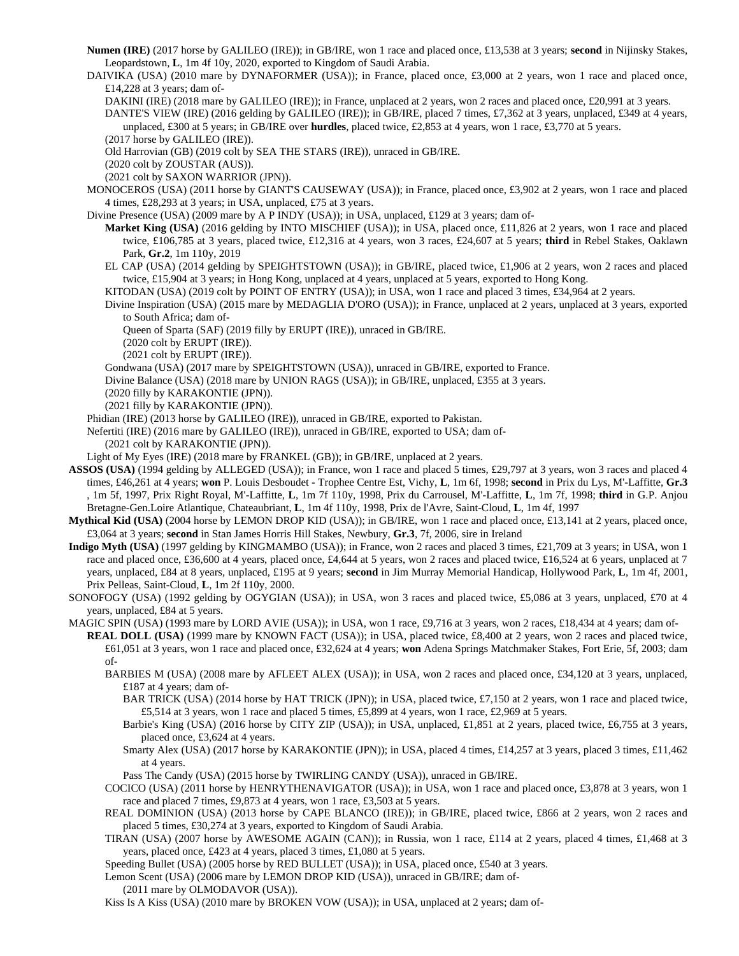**Numen (IRE)** (2017 horse by GALILEO (IRE)); in GB/IRE, won 1 race and placed once, £13,538 at 3 years; **second** in Nijinsky Stakes, Leopardstown, **L**, 1m 4f 10y, 2020, exported to Kingdom of Saudi Arabia.

DAIVIKA (USA) (2010 mare by DYNAFORMER (USA)); in France, placed once, £3,000 at 2 years, won 1 race and placed once, £14,228 at 3 years; dam of-

- DAKINI (IRE) (2018 mare by GALILEO (IRE)); in France, unplaced at 2 years, won 2 races and placed once, £20,991 at 3 years.
- DANTE'S VIEW (IRE) (2016 gelding by GALILEO (IRE)); in GB/IRE, placed 7 times, £7,362 at 3 years, unplaced, £349 at 4 years, unplaced, £300 at 5 years; in GB/IRE over **hurdles**, placed twice, £2,853 at 4 years, won 1 race, £3,770 at 5 years.

(2017 horse by GALILEO (IRE)).

Old Harrovian (GB) (2019 colt by SEA THE STARS (IRE)), unraced in GB/IRE.

- (2020 colt by ZOUSTAR (AUS)).
- (2021 colt by SAXON WARRIOR (JPN)).

MONOCEROS (USA) (2011 horse by GIANT'S CAUSEWAY (USA)); in France, placed once, £3,902 at 2 years, won 1 race and placed 4 times, £28,293 at 3 years; in USA, unplaced, £75 at 3 years.

Divine Presence (USA) (2009 mare by A P INDY (USA)); in USA, unplaced, £129 at 3 years; dam of-

- **Market King (USA)** (2016 gelding by INTO MISCHIEF (USA)); in USA, placed once, £11,826 at 2 years, won 1 race and placed twice, £106,785 at 3 years, placed twice, £12,316 at 4 years, won 3 races, £24,607 at 5 years; **third** in Rebel Stakes, Oaklawn Park, **Gr.2**, 1m 110y, 2019
- EL CAP (USA) (2014 gelding by SPEIGHTSTOWN (USA)); in GB/IRE, placed twice, £1,906 at 2 years, won 2 races and placed twice, £15,904 at 3 years; in Hong Kong, unplaced at 4 years, unplaced at 5 years, exported to Hong Kong.

KITODAN (USA) (2019 colt by POINT OF ENTRY (USA)); in USA, won 1 race and placed 3 times, £34,964 at 2 years.

Divine Inspiration (USA) (2015 mare by MEDAGLIA D'ORO (USA)); in France, unplaced at 2 years, unplaced at 3 years, exported to South Africa; dam of-

Queen of Sparta (SAF) (2019 filly by ERUPT (IRE)), unraced in GB/IRE.

(2020 colt by ERUPT (IRE)).

(2021 colt by ERUPT (IRE)).

Gondwana (USA) (2017 mare by SPEIGHTSTOWN (USA)), unraced in GB/IRE, exported to France.

Divine Balance (USA) (2018 mare by UNION RAGS (USA)); in GB/IRE, unplaced, £355 at 3 years.

(2020 filly by KARAKONTIE (JPN)).

(2021 filly by KARAKONTIE (JPN)).

Phidian (IRE) (2013 horse by GALILEO (IRE)), unraced in GB/IRE, exported to Pakistan.

Nefertiti (IRE) (2016 mare by GALILEO (IRE)), unraced in GB/IRE, exported to USA; dam of-

(2021 colt by KARAKONTIE (JPN)).

- Light of My Eyes (IRE) (2018 mare by FRANKEL (GB)); in GB/IRE, unplaced at 2 years.
- **ASSOS (USA)** (1994 gelding by ALLEGED (USA)); in France, won 1 race and placed 5 times, £29,797 at 3 years, won 3 races and placed 4 times, £46,261 at 4 years; **won** P. Louis Desboudet - Trophee Centre Est, Vichy, **L**, 1m 6f, 1998; **second** in Prix du Lys, M'-Laffitte, **Gr.3** , 1m 5f, 1997, Prix Right Royal, M'-Laffitte, **L**, 1m 7f 110y, 1998, Prix du Carrousel, M'-Laffitte, **L**, 1m 7f, 1998; **third** in G.P. Anjou Bretagne-Gen.Loire Atlantique, Chateaubriant, **L**, 1m 4f 110y, 1998, Prix de l'Avre, Saint-Cloud, **L**, 1m 4f, 1997
- **Mythical Kid (USA)** (2004 horse by LEMON DROP KID (USA)); in GB/IRE, won 1 race and placed once, £13,141 at 2 years, placed once, £3,064 at 3 years; **second** in Stan James Horris Hill Stakes, Newbury, **Gr.3**, 7f, 2006, sire in Ireland
- **Indigo Myth (USA)** (1997 gelding by KINGMAMBO (USA)); in France, won 2 races and placed 3 times, £21,709 at 3 years; in USA, won 1 race and placed once, £36,600 at 4 years, placed once, £4,644 at 5 years, won 2 races and placed twice, £16,524 at 6 years, unplaced at 7 years, unplaced, £84 at 8 years, unplaced, £195 at 9 years; **second** in Jim Murray Memorial Handicap, Hollywood Park, **L**, 1m 4f, 2001, Prix Pelleas, Saint-Cloud, **L**, 1m 2f 110y, 2000.
- SONOFOGY (USA) (1992 gelding by OGYGIAN (USA)); in USA, won 3 races and placed twice, £5,086 at 3 years, unplaced, £70 at 4 years, unplaced, £84 at 5 years.
- MAGIC SPIN (USA) (1993 mare by LORD AVIE (USA)); in USA, won 1 race, £9,716 at 3 years, won 2 races, £18,434 at 4 years; dam of-
	- **REAL DOLL (USA)** (1999 mare by KNOWN FACT (USA)); in USA, placed twice, £8,400 at 2 years, won 2 races and placed twice, £61,051 at 3 years, won 1 race and placed once, £32,624 at 4 years; **won** Adena Springs Matchmaker Stakes, Fort Erie, 5f, 2003; dam of-
		- BARBIES M (USA) (2008 mare by AFLEET ALEX (USA)); in USA, won 2 races and placed once, £34,120 at 3 years, unplaced, £187 at 4 years; dam of-
			- BAR TRICK (USA) (2014 horse by HAT TRICK (JPN)); in USA, placed twice, £7,150 at 2 years, won 1 race and placed twice, £5,514 at 3 years, won 1 race and placed 5 times, £5,899 at 4 years, won 1 race, £2,969 at 5 years.
			- Barbie's King (USA) (2016 horse by CITY ZIP (USA)); in USA, unplaced, £1,851 at 2 years, placed twice, £6,755 at 3 years, placed once, £3,624 at 4 years.

Smarty Alex (USA) (2017 horse by KARAKONTIE (JPN)); in USA, placed 4 times, £14,257 at 3 years, placed 3 times, £11,462 at 4 years.

Pass The Candy (USA) (2015 horse by TWIRLING CANDY (USA)), unraced in GB/IRE.

- COCICO (USA) (2011 horse by HENRYTHENAVIGATOR (USA)); in USA, won 1 race and placed once, £3,878 at 3 years, won 1 race and placed 7 times, £9,873 at 4 years, won 1 race, £3,503 at 5 years.
- REAL DOMINION (USA) (2013 horse by CAPE BLANCO (IRE)); in GB/IRE, placed twice, £866 at 2 years, won 2 races and placed 5 times, £30,274 at 3 years, exported to Kingdom of Saudi Arabia.
- TIRAN (USA) (2007 horse by AWESOME AGAIN (CAN)); in Russia, won 1 race, £114 at 2 years, placed 4 times, £1,468 at 3 years, placed once, £423 at 4 years, placed 3 times, £1,080 at 5 years.

Speeding Bullet (USA) (2005 horse by RED BULLET (USA)); in USA, placed once, £540 at 3 years.

Lemon Scent (USA) (2006 mare by LEMON DROP KID (USA)), unraced in GB/IRE; dam of-

(2011 mare by OLMODAVOR (USA)).

Kiss Is A Kiss (USA) (2010 mare by BROKEN VOW (USA)); in USA, unplaced at 2 years; dam of-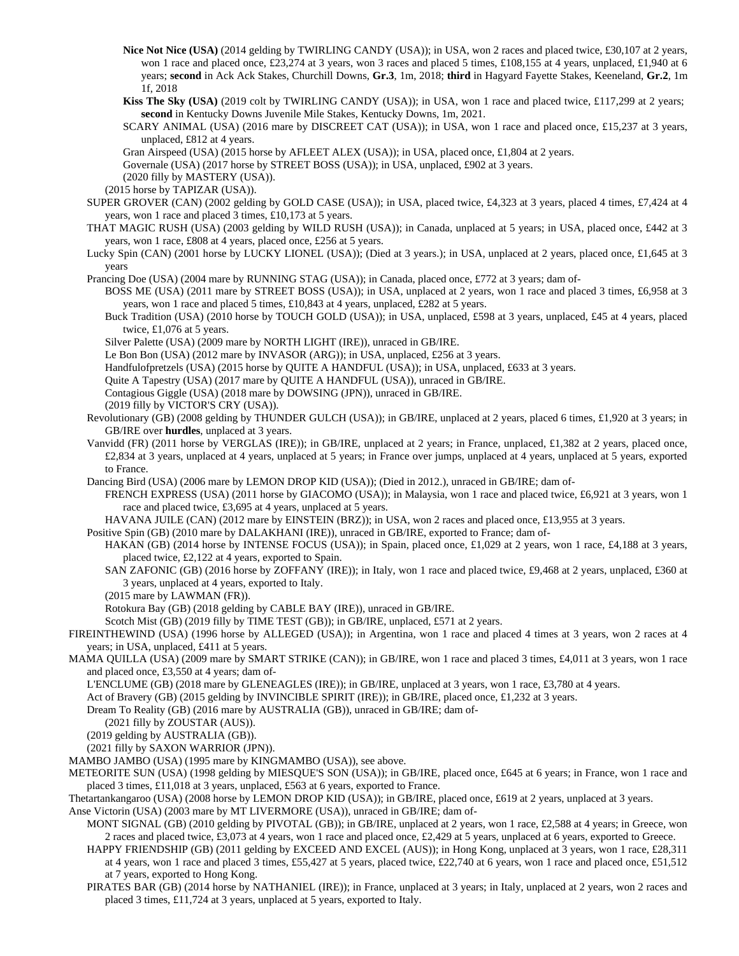- **Nice Not Nice (USA)** (2014 gelding by TWIRLING CANDY (USA)); in USA, won 2 races and placed twice, £30,107 at 2 years, won 1 race and placed once, £23,274 at 3 years, won 3 races and placed 5 times, £108,155 at 4 years, unplaced, £1,940 at 6 years; **second** in Ack Ack Stakes, Churchill Downs, **Gr.3**, 1m, 2018; **third** in Hagyard Fayette Stakes, Keeneland, **Gr.2**, 1m 1f, 2018
- **Kiss The Sky (USA)** (2019 colt by TWIRLING CANDY (USA)); in USA, won 1 race and placed twice, £117,299 at 2 years; **second** in Kentucky Downs Juvenile Mile Stakes, Kentucky Downs, 1m, 2021.

SCARY ANIMAL (USA) (2016 mare by DISCREET CAT (USA)); in USA, won 1 race and placed once, £15,237 at 3 years, unplaced, £812 at 4 years.

Gran Airspeed (USA) (2015 horse by AFLEET ALEX (USA)); in USA, placed once, £1,804 at 2 years.

Governale (USA) (2017 horse by STREET BOSS (USA)); in USA, unplaced, £902 at 3 years.

(2020 filly by MASTERY (USA)).

(2015 horse by TAPIZAR (USA)).

- SUPER GROVER (CAN) (2002 gelding by GOLD CASE (USA)); in USA, placed twice, £4,323 at 3 years, placed 4 times, £7,424 at 4 years, won 1 race and placed 3 times, £10,173 at 5 years.
- THAT MAGIC RUSH (USA) (2003 gelding by WILD RUSH (USA)); in Canada, unplaced at 5 years; in USA, placed once, £442 at 3 years, won 1 race, £808 at 4 years, placed once, £256 at 5 years.

Lucky Spin (CAN) (2001 horse by LUCKY LIONEL (USA)); (Died at 3 years.); in USA, unplaced at 2 years, placed once, £1,645 at 3 years

Prancing Doe (USA) (2004 mare by RUNNING STAG (USA)); in Canada, placed once, £772 at 3 years; dam of-

- BOSS ME (USA) (2011 mare by STREET BOSS (USA)); in USA, unplaced at 2 years, won 1 race and placed 3 times, £6,958 at 3 years, won 1 race and placed 5 times, £10,843 at 4 years, unplaced, £282 at 5 years.
- Buck Tradition (USA) (2010 horse by TOUCH GOLD (USA)); in USA, unplaced, £598 at 3 years, unplaced, £45 at 4 years, placed twice, £1,076 at 5 years.
- Silver Palette (USA) (2009 mare by NORTH LIGHT (IRE)), unraced in GB/IRE.

Le Bon Bon (USA) (2012 mare by INVASOR (ARG)); in USA, unplaced, £256 at 3 years.

Handfulofpretzels (USA) (2015 horse by QUITE A HANDFUL (USA)); in USA, unplaced, £633 at 3 years.

Quite A Tapestry (USA) (2017 mare by QUITE A HANDFUL (USA)), unraced in GB/IRE.

Contagious Giggle (USA) (2018 mare by DOWSING (JPN)), unraced in GB/IRE.

(2019 filly by VICTOR'S CRY (USA)).

- Revolutionary (GB) (2008 gelding by THUNDER GULCH (USA)); in GB/IRE, unplaced at 2 years, placed 6 times, £1,920 at 3 years; in GB/IRE over **hurdles**, unplaced at 3 years.
- Vanvidd (FR) (2011 horse by VERGLAS (IRE)); in GB/IRE, unplaced at 2 years; in France, unplaced, £1,382 at 2 years, placed once, £2,834 at 3 years, unplaced at 4 years, unplaced at 5 years; in France over jumps, unplaced at 4 years, unplaced at 5 years, exported to France.

Dancing Bird (USA) (2006 mare by LEMON DROP KID (USA)); (Died in 2012.), unraced in GB/IRE; dam of-

FRENCH EXPRESS (USA) (2011 horse by GIACOMO (USA)); in Malaysia, won 1 race and placed twice, £6,921 at 3 years, won 1 race and placed twice, £3,695 at 4 years, unplaced at 5 years.

HAVANA JUILE (CAN) (2012 mare by EINSTEIN (BRZ)); in USA, won 2 races and placed once, £13,955 at 3 years.

Positive Spin (GB) (2010 mare by DALAKHANI (IRE)), unraced in GB/IRE, exported to France; dam of-

HAKAN (GB) (2014 horse by INTENSE FOCUS (USA)); in Spain, placed once, £1,029 at 2 years, won 1 race, £4,188 at 3 years, placed twice, £2,122 at 4 years, exported to Spain.

SAN ZAFONIC (GB) (2016 horse by ZOFFANY (IRE)); in Italy, won 1 race and placed twice, £9,468 at 2 years, unplaced, £360 at 3 years, unplaced at 4 years, exported to Italy.

(2015 mare by LAWMAN (FR)).

Rotokura Bay (GB) (2018 gelding by CABLE BAY (IRE)), unraced in GB/IRE.

Scotch Mist (GB) (2019 filly by TIME TEST (GB)); in GB/IRE, unplaced, £571 at 2 years.

FIREINTHEWIND (USA) (1996 horse by ALLEGED (USA)); in Argentina, won 1 race and placed 4 times at 3 years, won 2 races at 4 years; in USA, unplaced, £411 at 5 years.

MAMA QUILLA (USA) (2009 mare by SMART STRIKE (CAN)); in GB/IRE, won 1 race and placed 3 times, £4,011 at 3 years, won 1 race and placed once, £3,550 at 4 years; dam of-

L'ENCLUME (GB) (2018 mare by GLENEAGLES (IRE)); in GB/IRE, unplaced at 3 years, won 1 race, £3,780 at 4 years.

Act of Bravery (GB) (2015 gelding by INVINCIBLE SPIRIT (IRE)); in GB/IRE, placed once, £1,232 at 3 years.

Dream To Reality (GB) (2016 mare by AUSTRALIA (GB)), unraced in GB/IRE; dam of-

(2021 filly by ZOUSTAR (AUS)).

(2019 gelding by AUSTRALIA (GB)).

(2021 filly by SAXON WARRIOR (JPN)).

MAMBO JAMBO (USA) (1995 mare by KINGMAMBO (USA)), see above.

METEORITE SUN (USA) (1998 gelding by MIESQUE'S SON (USA)); in GB/IRE, placed once, £645 at 6 years; in France, won 1 race and placed 3 times, £11,018 at 3 years, unplaced, £563 at 6 years, exported to France.

Thetartankangaroo (USA) (2008 horse by LEMON DROP KID (USA)); in GB/IRE, placed once, £619 at 2 years, unplaced at 3 years.

Anse Victorin (USA) (2003 mare by MT LIVERMORE (USA)), unraced in GB/IRE; dam of-

MONT SIGNAL (GB) (2010 gelding by PIVOTAL (GB)); in GB/IRE, unplaced at 2 years, won 1 race, £2,588 at 4 years; in Greece, won 2 races and placed twice, £3,073 at 4 years, won 1 race and placed once, £2,429 at 5 years, unplaced at 6 years, exported to Greece.

- HAPPY FRIENDSHIP (GB) (2011 gelding by EXCEED AND EXCEL (AUS)); in Hong Kong, unplaced at 3 years, won 1 race, £28,311 at 4 years, won 1 race and placed 3 times, £55,427 at 5 years, placed twice, £22,740 at 6 years, won 1 race and placed once, £51,512 at 7 years, exported to Hong Kong.
- PIRATES BAR (GB) (2014 horse by NATHANIEL (IRE)); in France, unplaced at 3 years; in Italy, unplaced at 2 years, won 2 races and placed 3 times, £11,724 at 3 years, unplaced at 5 years, exported to Italy.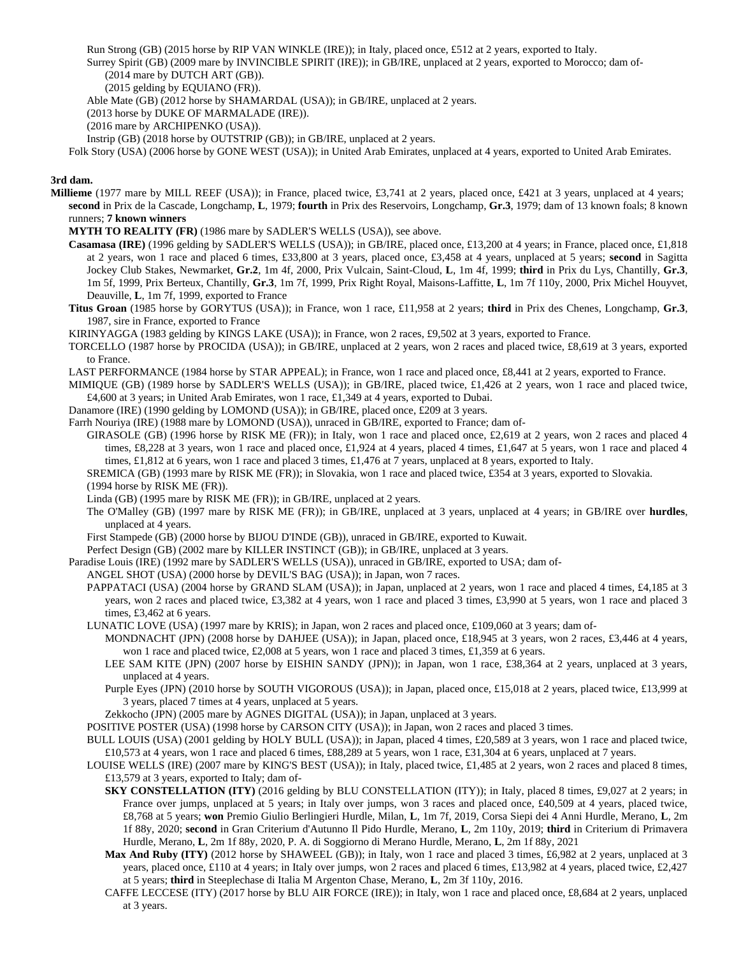Run Strong (GB) (2015 horse by RIP VAN WINKLE (IRE)); in Italy, placed once, £512 at 2 years, exported to Italy.

Surrey Spirit (GB) (2009 mare by INVINCIBLE SPIRIT (IRE)); in GB/IRE, unplaced at 2 years, exported to Morocco; dam of- (2014 mare by DUTCH ART (GB)).

(2015 gelding by EQUIANO (FR)).

Able Mate (GB) (2012 horse by SHAMARDAL (USA)); in GB/IRE, unplaced at 2 years.

(2013 horse by DUKE OF MARMALADE (IRE)).

(2016 mare by ARCHIPENKO (USA)).

Instrip (GB) (2018 horse by OUTSTRIP (GB)); in GB/IRE, unplaced at 2 years.

Folk Story (USA) (2006 horse by GONE WEST (USA)); in United Arab Emirates, unplaced at 4 years, exported to United Arab Emirates.

## **3rd dam.**

**Millieme** (1977 mare by MILL REEF (USA)); in France, placed twice, £3,741 at 2 years, placed once, £421 at 3 years, unplaced at 4 years; **second** in Prix de la Cascade, Longchamp, **L**, 1979; **fourth** in Prix des Reservoirs, Longchamp, **Gr.3**, 1979; dam of 13 known foals; 8 known runners; **7 known winners**

**MYTH TO REALITY (FR)** (1986 mare by SADLER'S WELLS (USA)), see above.

- **Casamasa (IRE)** (1996 gelding by SADLER'S WELLS (USA)); in GB/IRE, placed once, £13,200 at 4 years; in France, placed once, £1,818 at 2 years, won 1 race and placed 6 times, £33,800 at 3 years, placed once, £3,458 at 4 years, unplaced at 5 years; **second** in Sagitta Jockey Club Stakes, Newmarket, **Gr.2**, 1m 4f, 2000, Prix Vulcain, Saint-Cloud, **L**, 1m 4f, 1999; **third** in Prix du Lys, Chantilly, **Gr.3**, 1m 5f, 1999, Prix Berteux, Chantilly, **Gr.3**, 1m 7f, 1999, Prix Right Royal, Maisons-Laffitte, **L**, 1m 7f 110y, 2000, Prix Michel Houyvet, Deauville, **L**, 1m 7f, 1999, exported to France
- **Titus Groan** (1985 horse by GORYTUS (USA)); in France, won 1 race, £11,958 at 2 years; **third** in Prix des Chenes, Longchamp, **Gr.3**, 1987, sire in France, exported to France

KIRINYAGGA (1983 gelding by KINGS LAKE (USA)); in France, won 2 races, £9,502 at 3 years, exported to France.

- TORCELLO (1987 horse by PROCIDA (USA)); in GB/IRE, unplaced at 2 years, won 2 races and placed twice, £8,619 at 3 years, exported to France.
- LAST PERFORMANCE (1984 horse by STAR APPEAL); in France, won 1 race and placed once, £8,441 at 2 years, exported to France.
- MIMIQUE (GB) (1989 horse by SADLER'S WELLS (USA)); in GB/IRE, placed twice, £1,426 at 2 years, won 1 race and placed twice, £4,600 at 3 years; in United Arab Emirates, won 1 race, £1,349 at 4 years, exported to Dubai.
- Danamore (IRE) (1990 gelding by LOMOND (USA)); in GB/IRE, placed once, £209 at 3 years.

Farrh Nouriya (IRE) (1988 mare by LOMOND (USA)), unraced in GB/IRE, exported to France; dam of-

GIRASOLE (GB) (1996 horse by RISK ME (FR)); in Italy, won 1 race and placed once, £2,619 at 2 years, won 2 races and placed 4 times, £8,228 at 3 years, won 1 race and placed once, £1,924 at 4 years, placed 4 times, £1,647 at 5 years, won 1 race and placed 4 times, £1,812 at 6 years, won 1 race and placed 3 times, £1,476 at 7 years, unplaced at 8 years, exported to Italy.

SREMICA (GB) (1993 mare by RISK ME (FR)); in Slovakia, won 1 race and placed twice, £354 at 3 years, exported to Slovakia.

(1994 horse by RISK ME (FR)).

Linda (GB) (1995 mare by RISK ME (FR)); in GB/IRE, unplaced at 2 years.

The O'Malley (GB) (1997 mare by RISK ME (FR)); in GB/IRE, unplaced at 3 years, unplaced at 4 years; in GB/IRE over **hurdles**, unplaced at 4 years.

First Stampede (GB) (2000 horse by BIJOU D'INDE (GB)), unraced in GB/IRE, exported to Kuwait.

Perfect Design (GB) (2002 mare by KILLER INSTINCT (GB)); in GB/IRE, unplaced at 3 years.

Paradise Louis (IRE) (1992 mare by SADLER'S WELLS (USA)), unraced in GB/IRE, exported to USA; dam of-

ANGEL SHOT (USA) (2000 horse by DEVIL'S BAG (USA)); in Japan, won 7 races.

PAPPATACI (USA) (2004 horse by GRAND SLAM (USA)); in Japan, unplaced at 2 years, won 1 race and placed 4 times, £4,185 at 3 years, won 2 races and placed twice, £3,382 at 4 years, won 1 race and placed 3 times, £3,990 at 5 years, won 1 race and placed 3 times, £3,462 at 6 years.

LUNATIC LOVE (USA) (1997 mare by KRIS); in Japan, won 2 races and placed once, £109,060 at 3 years; dam of-

MONDNACHT (JPN) (2008 horse by DAHJEE (USA)); in Japan, placed once, £18,945 at 3 years, won 2 races, £3,446 at 4 years, won 1 race and placed twice, £2,008 at 5 years, won 1 race and placed 3 times, £1,359 at 6 years.

- LEE SAM KITE (JPN) (2007 horse by EISHIN SANDY (JPN)); in Japan, won 1 race, £38,364 at 2 years, unplaced at 3 years, unplaced at 4 years.
- Purple Eyes (JPN) (2010 horse by SOUTH VIGOROUS (USA)); in Japan, placed once, £15,018 at 2 years, placed twice, £13,999 at 3 years, placed 7 times at 4 years, unplaced at 5 years.
- Zekkocho (JPN) (2005 mare by AGNES DIGITAL (USA)); in Japan, unplaced at 3 years.

POSITIVE POSTER (USA) (1998 horse by CARSON CITY (USA)); in Japan, won 2 races and placed 3 times.

BULL LOUIS (USA) (2001 gelding by HOLY BULL (USA)); in Japan, placed 4 times, £20,589 at 3 years, won 1 race and placed twice, £10,573 at 4 years, won 1 race and placed 6 times, £88,289 at 5 years, won 1 race, £31,304 at 6 years, unplaced at 7 years.

LOUISE WELLS (IRE) (2007 mare by KING'S BEST (USA)); in Italy, placed twice, £1,485 at 2 years, won 2 races and placed 8 times, £13,579 at 3 years, exported to Italy; dam of-

**SKY CONSTELLATION (ITY)** (2016 gelding by BLU CONSTELLATION (ITY)); in Italy, placed 8 times, £9,027 at 2 years; in France over jumps, unplaced at 5 years; in Italy over jumps, won 3 races and placed once, £40,509 at 4 years, placed twice, £8,768 at 5 years; **won** Premio Giulio Berlingieri Hurdle, Milan, **L**, 1m 7f, 2019, Corsa Siepi dei 4 Anni Hurdle, Merano, **L**, 2m 1f 88y, 2020; **second** in Gran Criterium d'Autunno Il Pido Hurdle, Merano, **L**, 2m 110y, 2019; **third** in Criterium di Primavera Hurdle, Merano, **L**, 2m 1f 88y, 2020, P. A. di Soggiorno di Merano Hurdle, Merano, **L**, 2m 1f 88y, 2021

- Max And Ruby (ITY) (2012 horse by SHAWEEL (GB)); in Italy, won 1 race and placed 3 times, £6,982 at 2 years, unplaced at 3 years, placed once, £110 at 4 years; in Italy over jumps, won 2 races and placed 6 times, £13,982 at 4 years, placed twice, £2,427 at 5 years; **third** in Steeplechase di Italia M Argenton Chase, Merano, **L**, 2m 3f 110y, 2016.
- CAFFE LECCESE (ITY) (2017 horse by BLU AIR FORCE (IRE)); in Italy, won 1 race and placed once, £8,684 at 2 years, unplaced at 3 years.